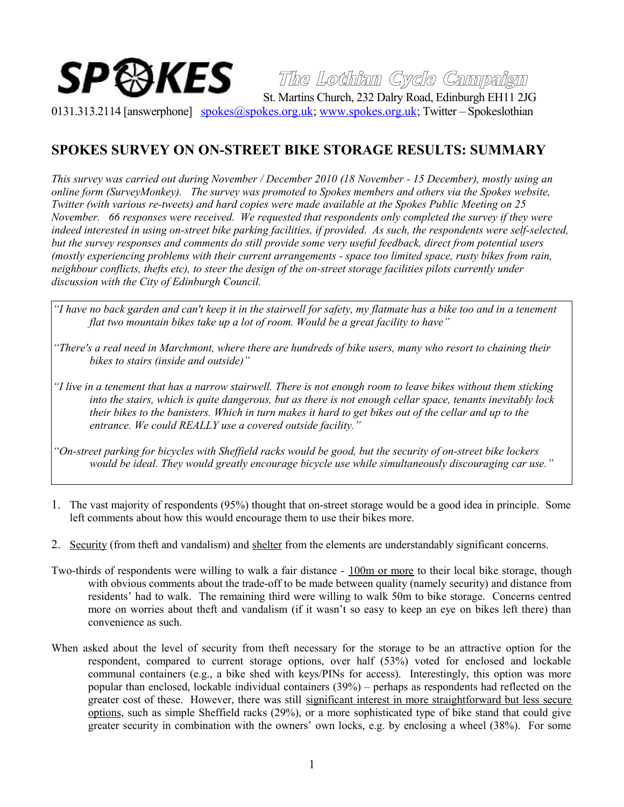## ${\boldsymbol{S}}{\boldsymbol{P}}$   $\boldsymbol{\odot} {\boldsymbol{K}}{\boldsymbol{E}}{\boldsymbol{S}}$   $\boldsymbol{\odot}$   $\boldsymbol{\mathcal{I}}$   $\boldsymbol{\mathcal{I}}$  and  $\boldsymbol{\mathcal{I}}$   $\boldsymbol{\mathcal{I}}$   $\boldsymbol{\mathcal{S}}$   $\boldsymbol{\mathcal{I}}$   $\boldsymbol{\mathcal{I}}$   $\boldsymbol{\mathcal{I}}$   $\boldsymbol{\mathcal{I}}$   $\boldsymbol{\mathcal{I}}$   $\boldsymbol{\mathcal{I}}$   $\boldsymbol{\mathcal{I}}$   $\boldsymbol{\mathcal{I}}$   $\boldsymbol{\mathcal{$

**The Lothian Cycle Campaign**

0131.313.2114 [answerphone] [spokes@spokes.org.uk;](mailto:spokes@spokes.org.uk) [www.spokes.org.uk;](http://www.spokes.org.uk/) Twitter – Spokeslothian

## **SPOKES SURVEY ON ON-STREET BIKE STORAGE RESULTS: SUMMARY**

*This survey was carried out during November / December 2010 (18 November - 15 December), mostly using an online form (SurveyMonkey). The survey was promoted to Spokes members and others via the Spokes website, Twitter (with various re-tweets) and hard copies were made available at the Spokes Public Meeting on 25 November. 66 responses were received. We requested that respondents only completed the survey if they were indeed interested in using on-street bike parking facilities, if provided. As such, the respondents were self-selected, but the survey responses and comments do still provide some very useful feedback, direct from potential users (mostly experiencing problems with their current arrangements - space too limited space, rusty bikes from rain, neighbour conflicts, thefts etc), to steer the design of the on-street storage facilities pilots currently under discussion with the City of Edinburgh Council.*

- *"I have no back garden and can't keep it in the stairwell for safety, my flatmate has a bike too and in a tenement flat two mountain bikes take up a lot of room. Would be a great facility to have"*
- *"There's a real need in Marchmont, where there are hundreds of bike users, many who resort to chaining their bikes to stairs (inside and outside)"*

*"I live in a tenement that has a narrow stairwell. There is not enough room to leave bikes without them sticking into the stairs, which is quite dangerous, but as there is not enough cellar space, tenants inevitably lock their bikes to the banisters. Which in turn makes it hard to get bikes out of the cellar and up to the entrance. We could REALLY use a covered outside facility."* 

*"On-street parking for bicycles with Sheffield racks would be good, but the security of on-street bike lockers would be ideal. They would greatly encourage bicycle use while simultaneously discouraging car use."* 

- 1. The vast majority of respondents (95%) thought that on-street storage would be a good idea in principle. Some left comments about how this would encourage them to use their bikes more.
- 2. Security (from theft and vandalism) and shelter from the elements are understandably significant concerns.
- Two-thirds of respondents were willing to walk a fair distance 100m or more to their local bike storage, though with obvious comments about the trade-off to be made between quality (namely security) and distance from residents' had to walk. The remaining third were willing to walk 50m to bike storage. Concerns centred more on worries about theft and vandalism (if it wasn't so easy to keep an eye on bikes left there) than convenience as such.
- When asked about the level of security from theft necessary for the storage to be an attractive option for the respondent, compared to current storage options, over half (53%) voted for enclosed and lockable communal containers (e.g., a bike shed with keys/PINs for access). Interestingly, this option was more popular than enclosed, lockable individual containers (39%) – perhaps as respondents had reflected on the greater cost of these. However, there was still significant interest in more straightforward but less secure options, such as simple Sheffield racks (29%), or a more sophisticated type of bike stand that could give greater security in combination with the owners' own locks, e.g. by enclosing a wheel (38%). For some